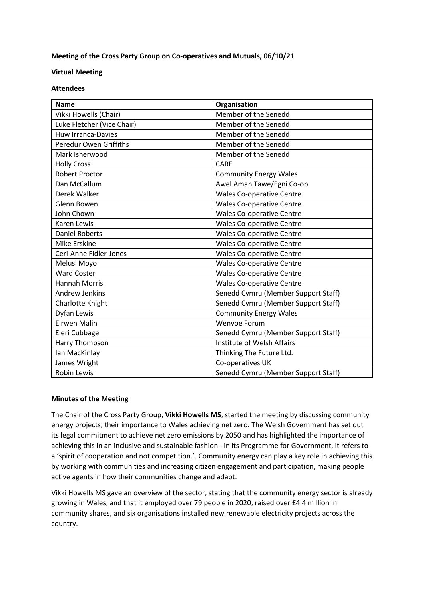## **Meeting of the Cross Party Group on Co-operatives and Mutuals, 06/10/21**

## **Virtual Meeting**

## **Attendees**

| <b>Name</b>                   | Organisation                        |
|-------------------------------|-------------------------------------|
| Vikki Howells (Chair)         | Member of the Senedd                |
| Luke Fletcher (Vice Chair)    | Member of the Senedd                |
| <b>Huw Irranca-Davies</b>     | Member of the Senedd                |
| <b>Peredur Owen Griffiths</b> | Member of the Senedd                |
| Mark Isherwood                | Member of the Senedd                |
| <b>Holly Cross</b>            | <b>CARE</b>                         |
| <b>Robert Proctor</b>         | <b>Community Energy Wales</b>       |
| Dan McCallum                  | Awel Aman Tawe/Egni Co-op           |
| Derek Walker                  | <b>Wales Co-operative Centre</b>    |
| Glenn Bowen                   | <b>Wales Co-operative Centre</b>    |
| John Chown                    | <b>Wales Co-operative Centre</b>    |
| Karen Lewis                   | <b>Wales Co-operative Centre</b>    |
| <b>Daniel Roberts</b>         | <b>Wales Co-operative Centre</b>    |
| Mike Erskine                  | <b>Wales Co-operative Centre</b>    |
| Ceri-Anne Fidler-Jones        | <b>Wales Co-operative Centre</b>    |
| Melusi Moyo                   | <b>Wales Co-operative Centre</b>    |
| <b>Ward Coster</b>            | <b>Wales Co-operative Centre</b>    |
| <b>Hannah Morris</b>          | <b>Wales Co-operative Centre</b>    |
| <b>Andrew Jenkins</b>         | Senedd Cymru (Member Support Staff) |
| Charlotte Knight              | Senedd Cymru (Member Support Staff) |
| Dyfan Lewis                   | <b>Community Energy Wales</b>       |
| Eirwen Malin                  | Wenvoe Forum                        |
| Eleri Cubbage                 | Senedd Cymru (Member Support Staff) |
| Harry Thompson                | Institute of Welsh Affairs          |
| lan MacKinlay                 | Thinking The Future Ltd.            |
| James Wright                  | Co-operatives UK                    |
| <b>Robin Lewis</b>            | Senedd Cymru (Member Support Staff) |

## **Minutes of the Meeting**

The Chair of the Cross Party Group, **Vikki Howells MS**, started the meeting by discussing community energy projects, their importance to Wales achieving net zero. The Welsh Government has set out its legal commitment to achieve net zero emissions by 2050 and has highlighted the importance of achieving this in an inclusive and sustainable fashion - in its Programme for Government, it refers to a 'spirit of cooperation and not competition.'. Community energy can play a key role in achieving this by working with communities and increasing citizen engagement and participation, making people active agents in how their communities change and adapt.

Vikki Howells MS gave an overview of the sector, stating that the community energy sector is already growing in Wales, and that it employed over 79 people in 2020, raised over £4.4 million in community shares, and six organisations installed new renewable electricity projects across the country.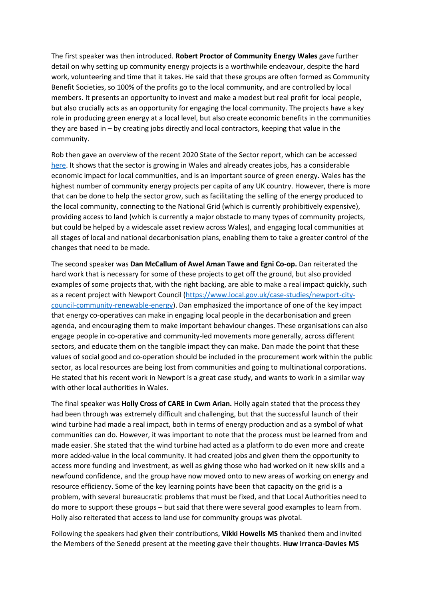The first speaker was then introduced. **Robert Proctor of Community Energy Wales** gave further detail on why setting up community energy projects is a worthwhile endeavour, despite the hard work, volunteering and time that it takes. He said that these groups are often formed as Community Benefit Societies, so 100% of the profits go to the local community, and are controlled by local members. It presents an opportunity to invest and make a modest but real profit for local people, but also crucially acts as an opportunity for engaging the local community. The projects have a key role in producing green energy at a local level, but also create economic benefits in the communities they are based in – by creating jobs directly and local contractors, keeping that value in the community.

Rob then gave an overview of the recent 2020 State of the Sector report, which can be accessed [here.](http://www.communityenergywales.org.uk/en/latest/state-of-the-sector-report-2020) It shows that the sector is growing in Wales and already creates jobs, has a considerable economic impact for local communities, and is an important source of green energy. Wales has the highest number of community energy projects per capita of any UK country. However, there is more that can be done to help the sector grow, such as facilitating the selling of the energy produced to the local community, connecting to the National Grid (which is currently prohibitively expensive), providing access to land (which is currently a major obstacle to many types of community projects, but could be helped by a widescale asset review across Wales), and engaging local communities at all stages of local and national decarbonisation plans, enabling them to take a greater control of the changes that need to be made.

The second speaker was **Dan McCallum of Awel Aman Tawe and Egni Co-op.** Dan reiterated the hard work that is necessary for some of these projects to get off the ground, but also provided examples of some projects that, with the right backing, are able to make a real impact quickly, such as a recent project with Newport Council [\(https://www.local.gov.uk/case-studies/newport-city](https://www.local.gov.uk/case-studies/newport-city-council-community-renewable-energy)[council-community-renewable-energy\)](https://www.local.gov.uk/case-studies/newport-city-council-community-renewable-energy). Dan emphasized the importance of one of the key impact that energy co-operatives can make in engaging local people in the decarbonisation and green agenda, and encouraging them to make important behaviour changes. These organisations can also engage people in co-operative and community-led movements more generally, across different sectors, and educate them on the tangible impact they can make. Dan made the point that these values of social good and co-operation should be included in the procurement work within the public sector, as local resources are being lost from communities and going to multinational corporations. He stated that his recent work in Newport is a great case study, and wants to work in a similar way with other local authorities in Wales.

The final speaker was **Holly Cross of CARE in Cwm Arian.** Holly again stated that the process they had been through was extremely difficult and challenging, but that the successful launch of their wind turbine had made a real impact, both in terms of energy production and as a symbol of what communities can do. However, it was important to note that the process must be learned from and made easier. She stated that the wind turbine had acted as a platform to do even more and create more added-value in the local community. It had created jobs and given them the opportunity to access more funding and investment, as well as giving those who had worked on it new skills and a newfound confidence, and the group have now moved onto to new areas of working on energy and resource efficiency. Some of the key learning points have been that capacity on the grid is a problem, with several bureaucratic problems that must be fixed, and that Local Authorities need to do more to support these groups – but said that there were several good examples to learn from. Holly also reiterated that access to land use for community groups was pivotal.

Following the speakers had given their contributions, **Vikki Howells MS** thanked them and invited the Members of the Senedd present at the meeting gave their thoughts. **Huw Irranca-Davies MS**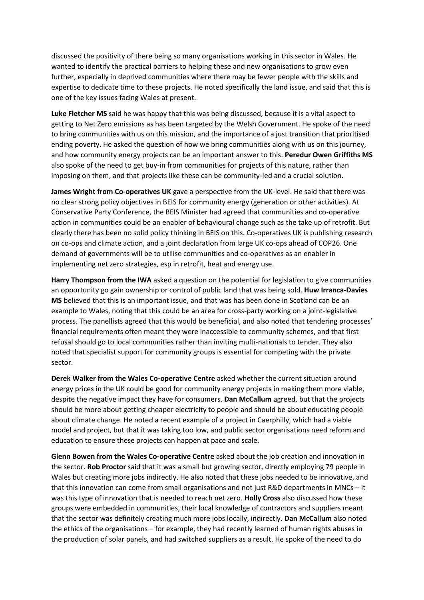discussed the positivity of there being so many organisations working in this sector in Wales. He wanted to identify the practical barriers to helping these and new organisations to grow even further, especially in deprived communities where there may be fewer people with the skills and expertise to dedicate time to these projects. He noted specifically the land issue, and said that this is one of the key issues facing Wales at present.

**Luke Fletcher MS** said he was happy that this was being discussed, because it is a vital aspect to getting to Net Zero emissions as has been targeted by the Welsh Government. He spoke of the need to bring communities with us on this mission, and the importance of a just transition that prioritised ending poverty. He asked the question of how we bring communities along with us on this journey, and how community energy projects can be an important answer to this. **Peredur Owen Griffiths MS**  also spoke of the need to get buy-in from communities for projects of this nature, rather than imposing on them, and that projects like these can be community-led and a crucial solution.

**James Wright from Co-operatives UK** gave a perspective from the UK-level. He said that there was no clear strong policy objectives in BEIS for community energy (generation or other activities). At Conservative Party Conference, the BEIS Minister had agreed that communities and co-operative action in communities could be an enabler of behavioural change such as the take up of retrofit. But clearly there has been no solid policy thinking in BEIS on this. Co-operatives UK is publishing research on co-ops and climate action, and a joint declaration from large UK co-ops ahead of COP26. One demand of governments will be to utilise communities and co-operatives as an enabler in implementing net zero strategies, esp in retrofit, heat and energy use.

**Harry Thompson from the IWA** asked a question on the potential for legislation to give communities an opportunity go gain ownership or control of public land that was being sold. **Huw Irranca-Davies MS** believed that this is an important issue, and that was has been done in Scotland can be an example to Wales, noting that this could be an area for cross-party working on a joint-legislative process. The panellists agreed that this would be beneficial, and also noted that tendering processes' financial requirements often meant they were inaccessible to community schemes, and that first refusal should go to local communities rather than inviting multi-nationals to tender. They also noted that specialist support for community groups is essential for competing with the private sector.

**Derek Walker from the Wales Co-operative Centre** asked whether the current situation around energy prices in the UK could be good for community energy projects in making them more viable, despite the negative impact they have for consumers. **Dan McCallum** agreed, but that the projects should be more about getting cheaper electricity to people and should be about educating people about climate change. He noted a recent example of a project in Caerphilly, which had a viable model and project, but that it was taking too low, and public sector organisations need reform and education to ensure these projects can happen at pace and scale.

**Glenn Bowen from the Wales Co-operative Centre** asked about the job creation and innovation in the sector. **Rob Proctor** said that it was a small but growing sector, directly employing 79 people in Wales but creating more jobs indirectly. He also noted that these jobs needed to be innovative, and that this innovation can come from small organisations and not just R&D departments in MNCs – it was this type of innovation that is needed to reach net zero. **Holly Cross** also discussed how these groups were embedded in communities, their local knowledge of contractors and suppliers meant that the sector was definitely creating much more jobs locally, indirectly. **Dan McCallum** also noted the ethics of the organisations – for example, they had recently learned of human rights abuses in the production of solar panels, and had switched suppliers as a result. He spoke of the need to do